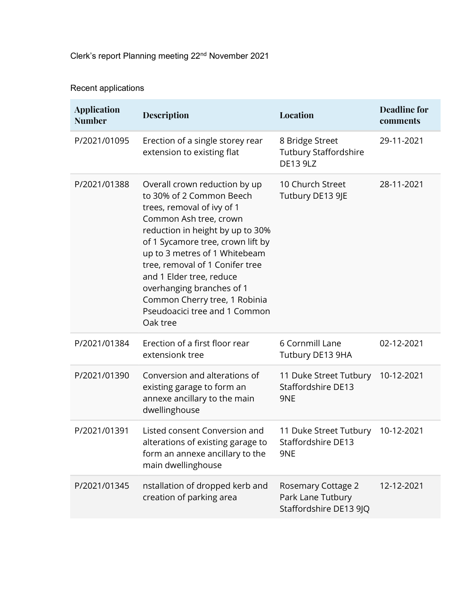# Clerk's report Planning meeting 22nd November 2021

# Recent applications

| <b>Application</b><br><b>Number</b> | <b>Description</b>                                                                                                                                                                                                                                                                                                                                                                                    | Location                                                                 | <b>Deadline for</b><br>comments |
|-------------------------------------|-------------------------------------------------------------------------------------------------------------------------------------------------------------------------------------------------------------------------------------------------------------------------------------------------------------------------------------------------------------------------------------------------------|--------------------------------------------------------------------------|---------------------------------|
| P/2021/01095                        | Erection of a single storey rear<br>extension to existing flat                                                                                                                                                                                                                                                                                                                                        | 8 Bridge Street<br><b>Tutbury Staffordshire</b><br><b>DE13 9LZ</b>       | 29-11-2021                      |
| P/2021/01388                        | Overall crown reduction by up<br>to 30% of 2 Common Beech<br>trees, removal of ivy of 1<br>Common Ash tree, crown<br>reduction in height by up to 30%<br>of 1 Sycamore tree, crown lift by<br>up to 3 metres of 1 Whitebeam<br>tree, removal of 1 Conifer tree<br>and 1 Elder tree, reduce<br>overhanging branches of 1<br>Common Cherry tree, 1 Robinia<br>Pseudoacici tree and 1 Common<br>Oak tree | 10 Church Street<br>Tutbury DE13 9JE                                     | 28-11-2021                      |
| P/2021/01384                        | Erection of a first floor rear<br>extensionk tree                                                                                                                                                                                                                                                                                                                                                     | 6 Cornmill Lane<br>Tutbury DE13 9HA                                      | 02-12-2021                      |
| P/2021/01390                        | Conversion and alterations of<br>existing garage to form an<br>annexe ancillary to the main<br>dwellinghouse                                                                                                                                                                                                                                                                                          | 11 Duke Street Tutbury 10-12-2021<br>Staffordshire DE13<br>9NE           |                                 |
| P/2021/01391                        | Listed consent Conversion and<br>alterations of existing garage to<br>form an annexe ancillary to the<br>main dwellinghouse                                                                                                                                                                                                                                                                           | 11 Duke Street Tutbury 10-12-2021<br>Staffordshire DE13<br>9NE           |                                 |
| P/2021/01345                        | nstallation of dropped kerb and<br>creation of parking area                                                                                                                                                                                                                                                                                                                                           | <b>Rosemary Cottage 2</b><br>Park Lane Tutbury<br>Staffordshire DE13 9JQ | 12-12-2021                      |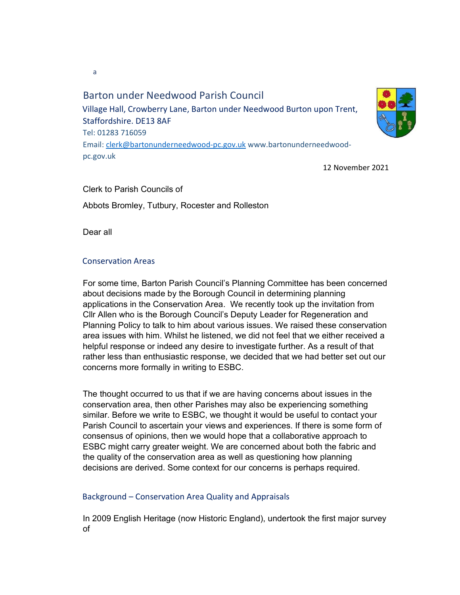Barton under Needwood Parish Council Village Hall, Crowberry Lane, Barton under Needwood Burton upon Trent, Staffordshire. DE13 8AF Tel: 01283 716059 Email: clerk@bartonunderneedwood-pc.gov.uk www.bartonunderneedwoodpc.gov.uk



Clerk to Parish Councils of Abbots Bromley, Tutbury, Rocester and Rolleston

Dear all

## Conservation Areas

For some time, Barton Parish Council's Planning Committee has been concerned about decisions made by the Borough Council in determining planning applications in the Conservation Area. We recently took up the invitation from Cllr Allen who is the Borough Council's Deputy Leader for Regeneration and Planning Policy to talk to him about various issues. We raised these conservation area issues with him. Whilst he listened, we did not feel that we either received a helpful response or indeed any desire to investigate further. As a result of that rather less than enthusiastic response, we decided that we had better set out our concerns more formally in writing to ESBC.

The thought occurred to us that if we are having concerns about issues in the conservation area, then other Parishes may also be experiencing something similar. Before we write to ESBC, we thought it would be useful to contact your Parish Council to ascertain your views and experiences. If there is some form of consensus of opinions, then we would hope that a collaborative approach to ESBC might carry greater weight. We are concerned about both the fabric and the quality of the conservation area as well as questioning how planning decisions are derived. Some context for our concerns is perhaps required.

## Background – Conservation Area Quality and Appraisals

In 2009 English Heritage (now Historic England), undertook the first major survey of

a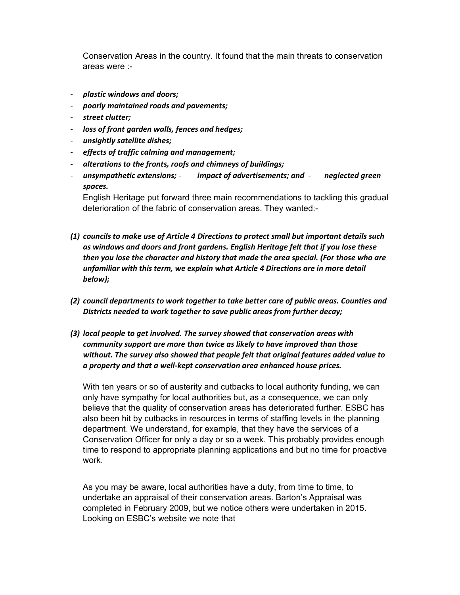Conservation Areas in the country. It found that the main threats to conservation areas were :-

- plastic windows and doors;
- poorly maintained roads and pavements;
- street clutter;
- loss of front garden walls, fences and hedges;
- unsightly satellite dishes;
- effects of traffic calming and management;
- alterations to the fronts, roofs and chimneys of buildings;
- unsympathetic extensions; impact of advertisements; and neglected green spaces.

English Heritage put forward three main recommendations to tackling this gradual deterioration of the fabric of conservation areas. They wanted:-

- (1) councils to make use of Article 4 Directions to protect small but important details such as windows and doors and front gardens. English Heritage felt that if you lose these then you lose the character and history that made the area special. (For those who are unfamiliar with this term, we explain what Article 4 Directions are in more detail below);
- (2) council departments to work together to take better care of public areas. Counties and Districts needed to work together to save public areas from further decay;
- (3) local people to get involved. The survey showed that conservation areas with community support are more than twice as likely to have improved than those without. The survey also showed that people felt that original features added value to a property and that a well-kept conservation area enhanced house prices.

With ten years or so of austerity and cutbacks to local authority funding, we can only have sympathy for local authorities but, as a consequence, we can only believe that the quality of conservation areas has deteriorated further. ESBC has also been hit by cutbacks in resources in terms of staffing levels in the planning department. We understand, for example, that they have the services of a Conservation Officer for only a day or so a week. This probably provides enough time to respond to appropriate planning applications and but no time for proactive work.

As you may be aware, local authorities have a duty, from time to time, to undertake an appraisal of their conservation areas. Barton's Appraisal was completed in February 2009, but we notice others were undertaken in 2015. Looking on ESBC's website we note that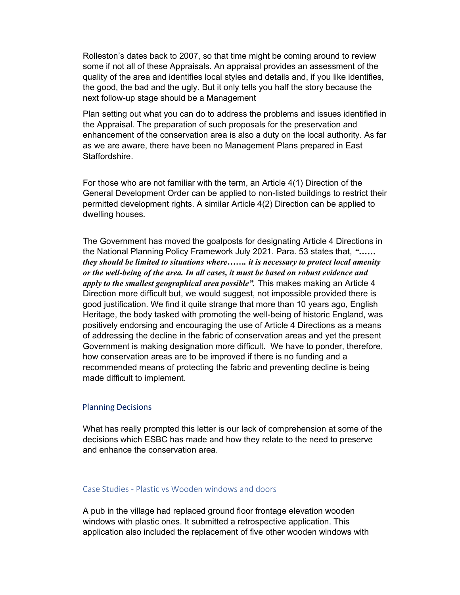Rolleston's dates back to 2007, so that time might be coming around to review some if not all of these Appraisals. An appraisal provides an assessment of the quality of the area and identifies local styles and details and, if you like identifies, the good, the bad and the ugly. But it only tells you half the story because the next follow-up stage should be a Management

Plan setting out what you can do to address the problems and issues identified in the Appraisal. The preparation of such proposals for the preservation and enhancement of the conservation area is also a duty on the local authority. As far as we are aware, there have been no Management Plans prepared in East Staffordshire.

For those who are not familiar with the term, an Article 4(1) Direction of the General Development Order can be applied to non-listed buildings to restrict their permitted development rights. A similar Article 4(2) Direction can be applied to dwelling houses.

The Government has moved the goalposts for designating Article 4 Directions in the National Planning Policy Framework July 2021. Para. 53 states that, "…… they should be limited to situations where……. it is necessary to protect local amenity or the well-being of the area. In all cases, it must be based on robust evidence and apply to the smallest geographical area possible". This makes making an Article 4 Direction more difficult but, we would suggest, not impossible provided there is good justification. We find it quite strange that more than 10 years ago, English Heritage, the body tasked with promoting the well-being of historic England, was positively endorsing and encouraging the use of Article 4 Directions as a means of addressing the decline in the fabric of conservation areas and yet the present Government is making designation more difficult. We have to ponder, therefore, how conservation areas are to be improved if there is no funding and a recommended means of protecting the fabric and preventing decline is being made difficult to implement.

#### Planning Decisions

What has really prompted this letter is our lack of comprehension at some of the decisions which ESBC has made and how they relate to the need to preserve and enhance the conservation area.

#### Case Studies - Plastic vs Wooden windows and doors

A pub in the village had replaced ground floor frontage elevation wooden windows with plastic ones. It submitted a retrospective application. This application also included the replacement of five other wooden windows with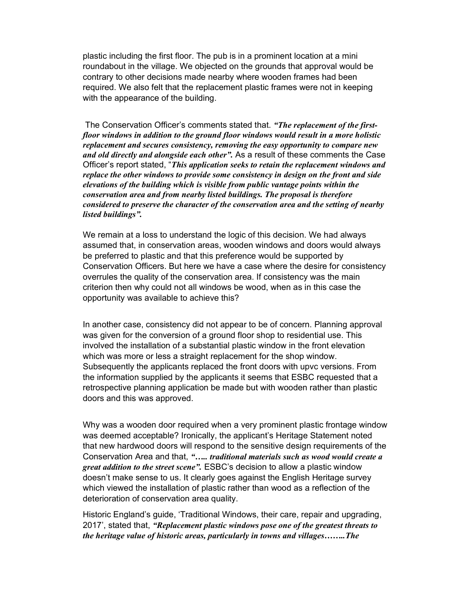plastic including the first floor. The pub is in a prominent location at a mini roundabout in the village. We objected on the grounds that approval would be contrary to other decisions made nearby where wooden frames had been required. We also felt that the replacement plastic frames were not in keeping with the appearance of the building.

The Conservation Officer's comments stated that. "The replacement of the firstfloor windows in addition to the ground floor windows would result in a more holistic replacement and secures consistency, removing the easy opportunity to compare new and old directly and alongside each other". As a result of these comments the Case Officer's report stated, "This application seeks to retain the replacement windows and replace the other windows to provide some consistency in design on the front and side elevations of the building which is visible from public vantage points within the conservation area and from nearby listed buildings. The proposal is therefore considered to preserve the character of the conservation area and the setting of nearby listed buildings".

We remain at a loss to understand the logic of this decision. We had always assumed that, in conservation areas, wooden windows and doors would always be preferred to plastic and that this preference would be supported by Conservation Officers. But here we have a case where the desire for consistency overrules the quality of the conservation area. If consistency was the main criterion then why could not all windows be wood, when as in this case the opportunity was available to achieve this?

In another case, consistency did not appear to be of concern. Planning approval was given for the conversion of a ground floor shop to residential use. This involved the installation of a substantial plastic window in the front elevation which was more or less a straight replacement for the shop window. Subsequently the applicants replaced the front doors with upvc versions. From the information supplied by the applicants it seems that ESBC requested that a retrospective planning application be made but with wooden rather than plastic doors and this was approved.

Why was a wooden door required when a very prominent plastic frontage window was deemed acceptable? Ironically, the applicant's Heritage Statement noted that new hardwood doors will respond to the sensitive design requirements of the Conservation Area and that, "..... traditional materials such as wood would create a great addition to the street scene". ESBC's decision to allow a plastic window doesn't make sense to us. It clearly goes against the English Heritage survey which viewed the installation of plastic rather than wood as a reflection of the deterioration of conservation area quality.

Historic England's guide, 'Traditional Windows, their care, repair and upgrading, 2017', stated that, "Replacement plastic windows pose one of the greatest threats to the heritage value of historic areas, particularly in towns and villages……..The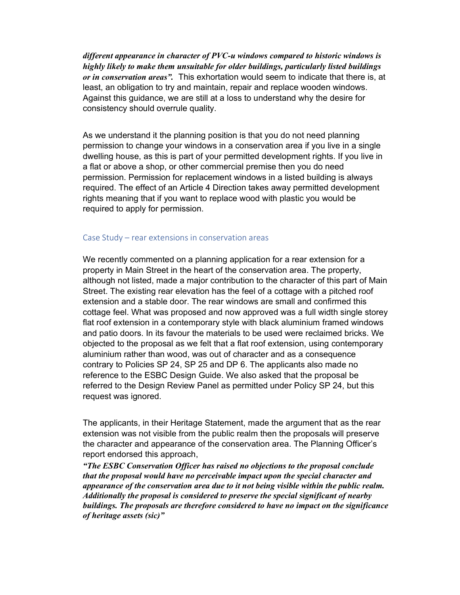different appearance in character of PVC-u windows compared to historic windows is highly likely to make them unsuitable for older buildings, particularly listed buildings or in conservation areas". This exhortation would seem to indicate that there is, at least, an obligation to try and maintain, repair and replace wooden windows. Against this guidance, we are still at a loss to understand why the desire for consistency should overrule quality.

As we understand it the planning position is that you do not need planning permission to change your windows in a conservation area if you live in a single dwelling house, as this is part of your permitted development rights. If you live in a flat or above a shop, or other commercial premise then you do need permission. Permission for replacement windows in a listed building is always required. The effect of an Article 4 Direction takes away permitted development rights meaning that if you want to replace wood with plastic you would be required to apply for permission.

#### Case Study – rear extensions in conservation areas

We recently commented on a planning application for a rear extension for a property in Main Street in the heart of the conservation area. The property, although not listed, made a major contribution to the character of this part of Main Street. The existing rear elevation has the feel of a cottage with a pitched roof extension and a stable door. The rear windows are small and confirmed this cottage feel. What was proposed and now approved was a full width single storey flat roof extension in a contemporary style with black aluminium framed windows and patio doors. In its favour the materials to be used were reclaimed bricks. We objected to the proposal as we felt that a flat roof extension, using contemporary aluminium rather than wood, was out of character and as a consequence contrary to Policies SP 24, SP 25 and DP 6. The applicants also made no reference to the ESBC Design Guide. We also asked that the proposal be referred to the Design Review Panel as permitted under Policy SP 24, but this request was ignored.

The applicants, in their Heritage Statement, made the argument that as the rear extension was not visible from the public realm then the proposals will preserve the character and appearance of the conservation area. The Planning Officer's report endorsed this approach,

"The ESBC Conservation Officer has raised no objections to the proposal conclude that the proposal would have no perceivable impact upon the special character and appearance of the conservation area due to it not being visible within the public realm. Additionally the proposal is considered to preserve the special significant of nearby buildings. The proposals are therefore considered to have no impact on the significance of heritage assets (sic)"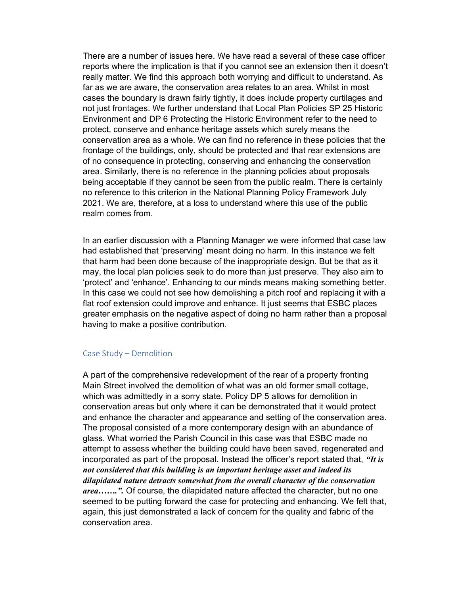There are a number of issues here. We have read a several of these case officer reports where the implication is that if you cannot see an extension then it doesn't really matter. We find this approach both worrying and difficult to understand. As far as we are aware, the conservation area relates to an area. Whilst in most cases the boundary is drawn fairly tightly, it does include property curtilages and not just frontages. We further understand that Local Plan Policies SP 25 Historic Environment and DP 6 Protecting the Historic Environment refer to the need to protect, conserve and enhance heritage assets which surely means the conservation area as a whole. We can find no reference in these policies that the frontage of the buildings, only, should be protected and that rear extensions are of no consequence in protecting, conserving and enhancing the conservation area. Similarly, there is no reference in the planning policies about proposals being acceptable if they cannot be seen from the public realm. There is certainly no reference to this criterion in the National Planning Policy Framework July 2021. We are, therefore, at a loss to understand where this use of the public realm comes from.

In an earlier discussion with a Planning Manager we were informed that case law had established that 'preserving' meant doing no harm. In this instance we felt that harm had been done because of the inappropriate design. But be that as it may, the local plan policies seek to do more than just preserve. They also aim to 'protect' and 'enhance'. Enhancing to our minds means making something better. In this case we could not see how demolishing a pitch roof and replacing it with a flat roof extension could improve and enhance. It just seems that ESBC places greater emphasis on the negative aspect of doing no harm rather than a proposal having to make a positive contribution.

#### Case Study – Demolition

A part of the comprehensive redevelopment of the rear of a property fronting Main Street involved the demolition of what was an old former small cottage, which was admittedly in a sorry state. Policy DP 5 allows for demolition in conservation areas but only where it can be demonstrated that it would protect and enhance the character and appearance and setting of the conservation area. The proposal consisted of a more contemporary design with an abundance of glass. What worried the Parish Council in this case was that ESBC made no attempt to assess whether the building could have been saved, regenerated and incorporated as part of the proposal. Instead the officer's report stated that, " $It$  is not considered that this building is an important heritage asset and indeed its dilapidated nature detracts somewhat from the overall character of the conservation area.......". Of course, the dilapidated nature affected the character, but no one seemed to be putting forward the case for protecting and enhancing. We felt that, again, this just demonstrated a lack of concern for the quality and fabric of the conservation area.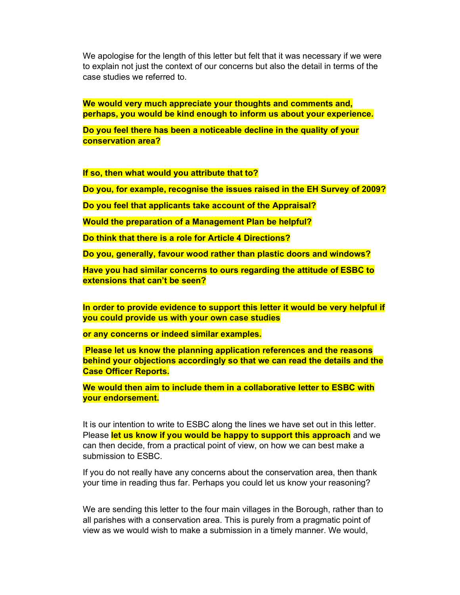We apologise for the length of this letter but felt that it was necessary if we were to explain not just the context of our concerns but also the detail in terms of the case studies we referred to.

We would very much appreciate your thoughts and comments and, perhaps, you would be kind enough to inform us about your experience.

Do you feel there has been a noticeable decline in the quality of your conservation area?

If so, then what would you attribute that to?

Do you, for example, recognise the issues raised in the EH Survey of 2009?

Do you feel that applicants take account of the Appraisal?

Would the preparation of a Management Plan be helpful?

Do think that there is a role for Article 4 Directions?

Do you, generally, favour wood rather than plastic doors and windows?

Have you had similar concerns to ours regarding the attitude of ESBC to extensions that can't be seen?

In order to provide evidence to support this letter it would be very helpful if you could provide us with your own case studies

or any concerns or indeed similar examples.

 Please let us know the planning application references and the reasons behind your objections accordingly so that we can read the details and the Case Officer Reports.

We would then aim to include them in a collaborative letter to ESBC with your endorsement.

It is our intention to write to ESBC along the lines we have set out in this letter. Please let us know if you would be happy to support this approach and we can then decide, from a practical point of view, on how we can best make a submission to ESBC.

If you do not really have any concerns about the conservation area, then thank your time in reading thus far. Perhaps you could let us know your reasoning?

We are sending this letter to the four main villages in the Borough, rather than to all parishes with a conservation area. This is purely from a pragmatic point of view as we would wish to make a submission in a timely manner. We would,